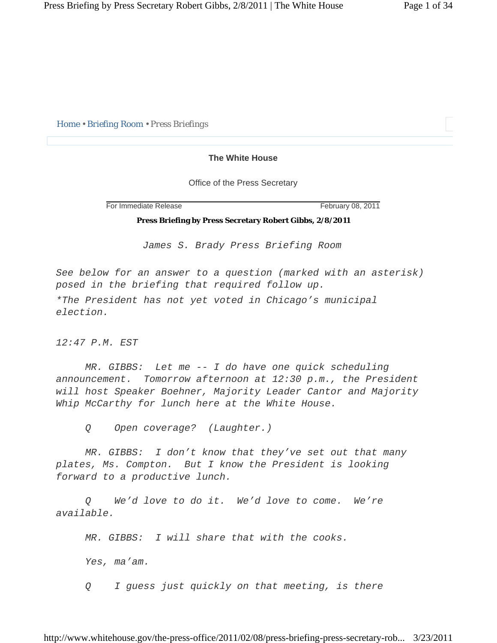*Home • Briefing Room • Press Briefings* 

## **The White House**

Office of the Press Secretary

For Immediate Release February 08, 2011

## **Press Briefing by Press Secretary Robert Gibbs, 2/8/2011**

*James S. Brady Press Briefing Room* 

*See below for an answer to a question (marked with an asterisk) posed in the briefing that required follow up. \*The President has not yet voted in Chicago's municipal election.* 

*12:47 P.M. EST* 

 *MR. GIBBS: Let me -- I do have one quick scheduling announcement. Tomorrow afternoon at 12:30 p.m., the President will host Speaker Boehner, Majority Leader Cantor and Majority Whip McCarthy for lunch here at the White House.* 

 *Q Open coverage? (Laughter.)* 

 *MR. GIBBS: I don't know that they've set out that many plates, Ms. Compton. But I know the President is looking forward to a productive lunch.* 

 *Q We'd love to do it. We'd love to come. We're available.* 

 *MR. GIBBS: I will share that with the cooks.* 

 *Yes, ma'am.* 

 *Q I guess just quickly on that meeting, is there*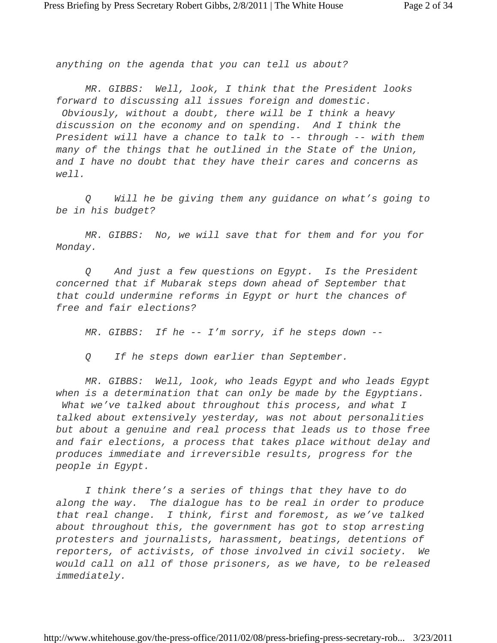*anything on the agenda that you can tell us about?* 

 *MR. GIBBS: Well, look, I think that the President looks forward to discussing all issues foreign and domestic. Obviously, without a doubt, there will be I think a heavy discussion on the economy and on spending. And I think the President will have a chance to talk to -- through -- with them many of the things that he outlined in the State of the Union, and I have no doubt that they have their cares and concerns as well.* 

 *Q Will he be giving them any guidance on what's going to be in his budget?* 

 *MR. GIBBS: No, we will save that for them and for you for Monday.* 

 *Q And just a few questions on Egypt. Is the President concerned that if Mubarak steps down ahead of September that that could undermine reforms in Egypt or hurt the chances of free and fair elections?* 

 *MR. GIBBS: If he -- I'm sorry, if he steps down --* 

 *Q If he steps down earlier than September.* 

 *MR. GIBBS: Well, look, who leads Egypt and who leads Egypt when is a determination that can only be made by the Egyptians. What we've talked about throughout this process, and what I talked about extensively yesterday, was not about personalities but about a genuine and real process that leads us to those free and fair elections, a process that takes place without delay and produces immediate and irreversible results, progress for the people in Egypt.* 

 *I think there's a series of things that they have to do along the way. The dialogue has to be real in order to produce that real change. I think, first and foremost, as we've talked about throughout this, the government has got to stop arresting protesters and journalists, harassment, beatings, detentions of reporters, of activists, of those involved in civil society. We would call on all of those prisoners, as we have, to be released immediately.*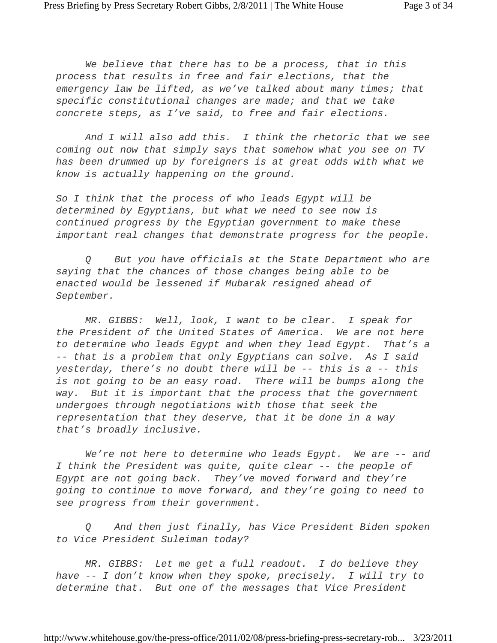*We believe that there has to be a process, that in this process that results in free and fair elections, that the emergency law be lifted, as we've talked about many times; that specific constitutional changes are made; and that we take concrete steps, as I've said, to free and fair elections.* 

 *And I will also add this. I think the rhetoric that we see coming out now that simply says that somehow what you see on TV has been drummed up by foreigners is at great odds with what we know is actually happening on the ground.* 

*So I think that the process of who leads Egypt will be determined by Egyptians, but what we need to see now is continued progress by the Egyptian government to make these important real changes that demonstrate progress for the people.* 

 *Q But you have officials at the State Department who are saying that the chances of those changes being able to be enacted would be lessened if Mubarak resigned ahead of September.* 

 *MR. GIBBS: Well, look, I want to be clear. I speak for the President of the United States of America. We are not here to determine who leads Egypt and when they lead Egypt. That's a -- that is a problem that only Egyptians can solve. As I said yesterday, there's no doubt there will be -- this is a -- this is not going to be an easy road. There will be bumps along the way. But it is important that the process that the government undergoes through negotiations with those that seek the representation that they deserve, that it be done in a way that's broadly inclusive.* 

 *We're not here to determine who leads Egypt. We are -- and I think the President was quite, quite clear -- the people of Egypt are not going back. They've moved forward and they're going to continue to move forward, and they're going to need to see progress from their government.* 

 *Q And then just finally, has Vice President Biden spoken to Vice President Suleiman today?* 

 *MR. GIBBS: Let me get a full readout. I do believe they have -- I don't know when they spoke, precisely. I will try to determine that. But one of the messages that Vice President*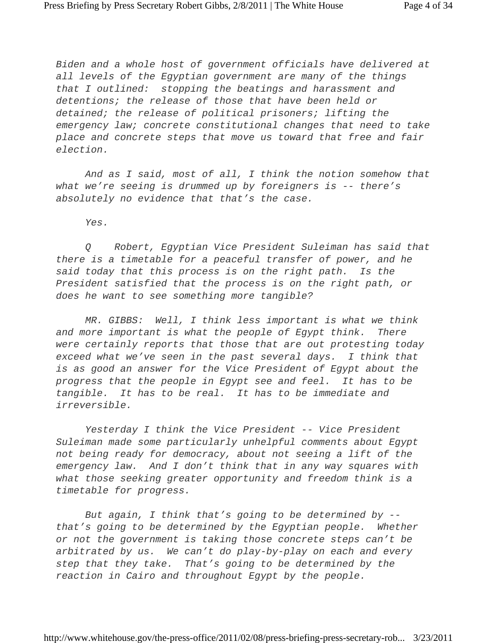*Biden and a whole host of government officials have delivered at all levels of the Egyptian government are many of the things that I outlined: stopping the beatings and harassment and detentions; the release of those that have been held or detained; the release of political prisoners; lifting the emergency law; concrete constitutional changes that need to take place and concrete steps that move us toward that free and fair election.* 

 *And as I said, most of all, I think the notion somehow that what we're seeing is drummed up by foreigners is -- there's absolutely no evidence that that's the case.* 

 *Yes.* 

 *Q Robert, Egyptian Vice President Suleiman has said that there is a timetable for a peaceful transfer of power, and he said today that this process is on the right path. Is the President satisfied that the process is on the right path, or does he want to see something more tangible?* 

 *MR. GIBBS: Well, I think less important is what we think and more important is what the people of Egypt think. There were certainly reports that those that are out protesting today exceed what we've seen in the past several days. I think that is as good an answer for the Vice President of Egypt about the progress that the people in Egypt see and feel. It has to be tangible. It has to be real. It has to be immediate and irreversible.* 

 *Yesterday I think the Vice President -- Vice President Suleiman made some particularly unhelpful comments about Egypt not being ready for democracy, about not seeing a lift of the emergency law. And I don't think that in any way squares with what those seeking greater opportunity and freedom think is a timetable for progress.* 

 *But again, I think that's going to be determined by - that's going to be determined by the Egyptian people. Whether or not the government is taking those concrete steps can't be arbitrated by us. We can't do play-by-play on each and every step that they take. That's going to be determined by the reaction in Cairo and throughout Egypt by the people.*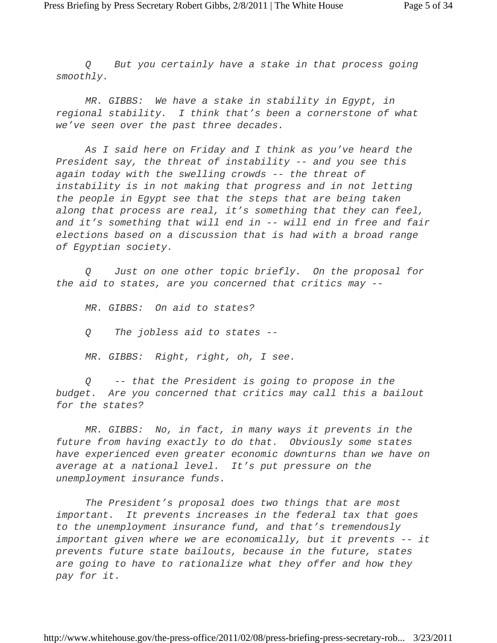*Q But you certainly have a stake in that process going smoothly.* 

 *MR. GIBBS: We have a stake in stability in Egypt, in regional stability. I think that's been a cornerstone of what we've seen over the past three decades.* 

 *As I said here on Friday and I think as you've heard the President say, the threat of instability -- and you see this again today with the swelling crowds -- the threat of instability is in not making that progress and in not letting the people in Egypt see that the steps that are being taken along that process are real, it's something that they can feel, and it's something that will end in -- will end in free and fair elections based on a discussion that is had with a broad range of Egyptian society.* 

 *Q Just on one other topic briefly. On the proposal for the aid to states, are you concerned that critics may --* 

 *MR. GIBBS: On aid to states?* 

 *Q The jobless aid to states --* 

 *MR. GIBBS: Right, right, oh, I see.* 

 *Q -- that the President is going to propose in the budget. Are you concerned that critics may call this a bailout for the states?* 

 *MR. GIBBS: No, in fact, in many ways it prevents in the future from having exactly to do that. Obviously some states have experienced even greater economic downturns than we have on average at a national level. It's put pressure on the unemployment insurance funds.* 

 *The President's proposal does two things that are most important. It prevents increases in the federal tax that goes to the unemployment insurance fund, and that's tremendously important given where we are economically, but it prevents -- it prevents future state bailouts, because in the future, states are going to have to rationalize what they offer and how they pay for it.*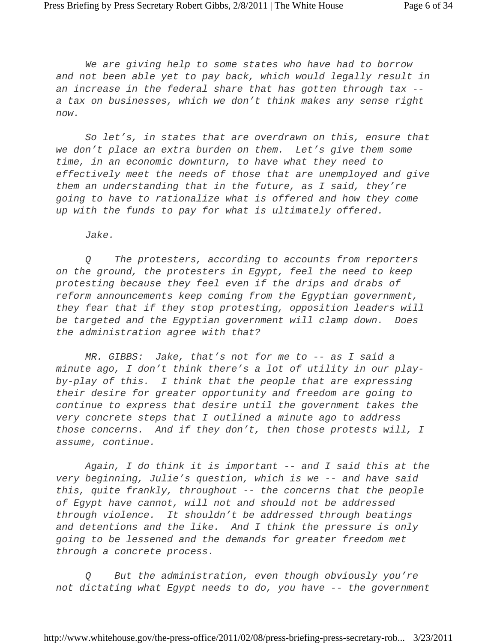*We are giving help to some states who have had to borrow and not been able yet to pay back, which would legally result in an increase in the federal share that has gotten through tax - a tax on businesses, which we don't think makes any sense right now.* 

 *So let's, in states that are overdrawn on this, ensure that we don't place an extra burden on them. Let's give them some time, in an economic downturn, to have what they need to effectively meet the needs of those that are unemployed and give them an understanding that in the future, as I said, they're going to have to rationalize what is offered and how they come up with the funds to pay for what is ultimately offered.* 

 *Jake.* 

 *Q The protesters, according to accounts from reporters on the ground, the protesters in Egypt, feel the need to keep protesting because they feel even if the drips and drabs of reform announcements keep coming from the Egyptian government, they fear that if they stop protesting, opposition leaders will be targeted and the Egyptian government will clamp down. Does the administration agree with that?* 

 *MR. GIBBS: Jake, that's not for me to -- as I said a minute ago, I don't think there's a lot of utility in our playby-play of this. I think that the people that are expressing their desire for greater opportunity and freedom are going to continue to express that desire until the government takes the very concrete steps that I outlined a minute ago to address those concerns. And if they don't, then those protests will, I assume, continue.* 

 *Again, I do think it is important -- and I said this at the very beginning, Julie's question, which is we -- and have said this, quite frankly, throughout -- the concerns that the people of Egypt have cannot, will not and should not be addressed through violence. It shouldn't be addressed through beatings and detentions and the like. And I think the pressure is only going to be lessened and the demands for greater freedom met through a concrete process.* 

But the administration, even though obviously you're *not dictating what Egypt needs to do, you have -- the government*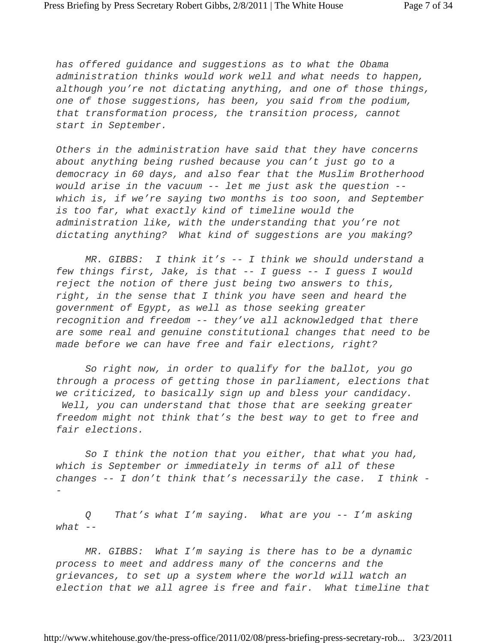*has offered guidance and suggestions as to what the Obama administration thinks would work well and what needs to happen, although you're not dictating anything, and one of those things, one of those suggestions, has been, you said from the podium, that transformation process, the transition process, cannot start in September.* 

*Others in the administration have said that they have concerns about anything being rushed because you can't just go to a democracy in 60 days, and also fear that the Muslim Brotherhood would arise in the vacuum -- let me just ask the question - which is, if we're saying two months is too soon, and September is too far, what exactly kind of timeline would the administration like, with the understanding that you're not dictating anything? What kind of suggestions are you making?* 

 *MR. GIBBS: I think it's -- I think we should understand a few things first, Jake, is that -- I guess -- I guess I would reject the notion of there just being two answers to this, right, in the sense that I think you have seen and heard the government of Egypt, as well as those seeking greater recognition and freedom -- they've all acknowledged that there are some real and genuine constitutional changes that need to be made before we can have free and fair elections, right?* 

 *So right now, in order to qualify for the ballot, you go through a process of getting those in parliament, elections that we criticized, to basically sign up and bless your candidacy. Well, you can understand that those that are seeking greater freedom might not think that's the best way to get to free and fair elections.* 

 *So I think the notion that you either, that what you had, which is September or immediately in terms of all of these changes -- I don't think that's necessarily the case. I think - -* 

 *Q That's what I'm saying. What are you -- I'm asking what --* 

 *MR. GIBBS: What I'm saying is there has to be a dynamic process to meet and address many of the concerns and the grievances, to set up a system where the world will watch an election that we all agree is free and fair. What timeline that*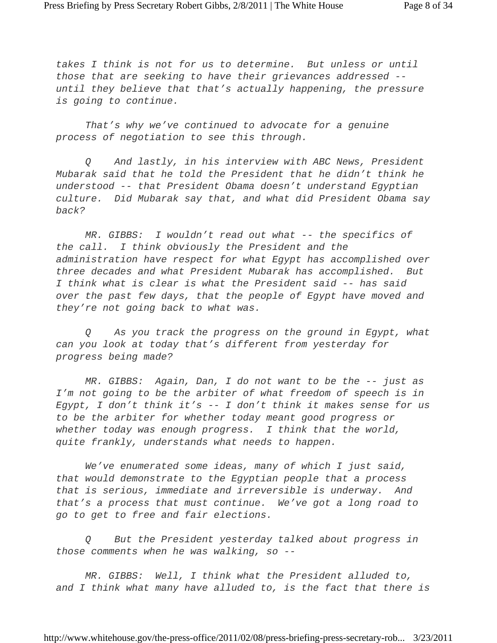*takes I think is not for us to determine. But unless or until those that are seeking to have their grievances addressed - until they believe that that's actually happening, the pressure is going to continue.* 

 *That's why we've continued to advocate for a genuine process of negotiation to see this through.* 

 *Q And lastly, in his interview with ABC News, President Mubarak said that he told the President that he didn't think he understood -- that President Obama doesn't understand Egyptian culture. Did Mubarak say that, and what did President Obama say back?* 

 *MR. GIBBS: I wouldn't read out what -- the specifics of the call. I think obviously the President and the administration have respect for what Egypt has accomplished over three decades and what President Mubarak has accomplished. But I think what is clear is what the President said -- has said over the past few days, that the people of Egypt have moved and they're not going back to what was.* 

 *Q As you track the progress on the ground in Egypt, what can you look at today that's different from yesterday for progress being made?* 

 *MR. GIBBS: Again, Dan, I do not want to be the -- just as*  I'm not going to be the arbiter of what freedom of speech is in *Egypt, I don't think it's -- I don't think it makes sense for us to be the arbiter for whether today meant good progress or whether today was enough progress. I think that the world, quite frankly, understands what needs to happen.* 

 *We've enumerated some ideas, many of which I just said, that would demonstrate to the Egyptian people that a process that is serious, immediate and irreversible is underway. And that's a process that must continue. We've got a long road to go to get to free and fair elections.* 

 *Q But the President yesterday talked about progress in those comments when he was walking, so --* 

 *MR. GIBBS: Well, I think what the President alluded to, and I think what many have alluded to, is the fact that there is*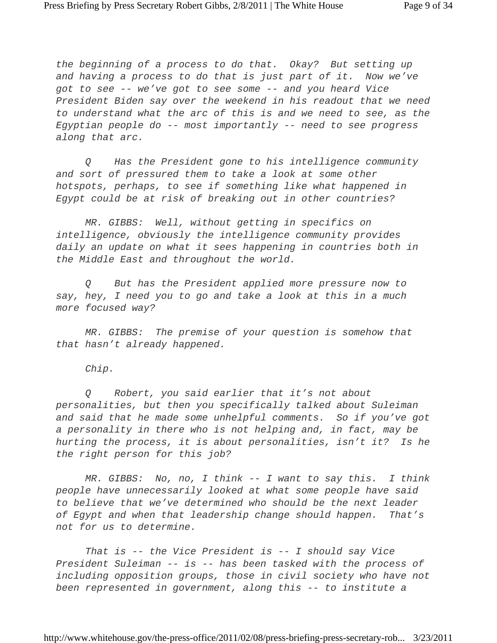*the beginning of a process to do that. Okay? But setting up and having a process to do that is just part of it. Now we've got to see -- we've got to see some -- and you heard Vice President Biden say over the weekend in his readout that we need to understand what the arc of this is and we need to see, as the Egyptian people do -- most importantly -- need to see progress along that arc.* 

 *Q Has the President gone to his intelligence community and sort of pressured them to take a look at some other hotspots, perhaps, to see if something like what happened in Egypt could be at risk of breaking out in other countries?* 

 *MR. GIBBS: Well, without getting in specifics on intelligence, obviously the intelligence community provides daily an update on what it sees happening in countries both in the Middle East and throughout the world.* 

 *Q But has the President applied more pressure now to say, hey, I need you to go and take a look at this in a much more focused way?* 

 *MR. GIBBS: The premise of your question is somehow that that hasn't already happened.* 

 *Chip.* 

 *Q Robert, you said earlier that it's not about personalities, but then you specifically talked about Suleiman and said that he made some unhelpful comments. So if you've got a personality in there who is not helping and, in fact, may be hurting the process, it is about personalities, isn't it? Is he the right person for this job?* 

 *MR. GIBBS: No, no, I think -- I want to say this. I think people have unnecessarily looked at what some people have said to believe that we've determined who should be the next leader of Egypt and when that leadership change should happen. That's not for us to determine.* 

 *That is -- the Vice President is -- I should say Vice President Suleiman -- is -- has been tasked with the process of*  including opposition groups, those in civil society who have not *been represented in government, along this -- to institute a*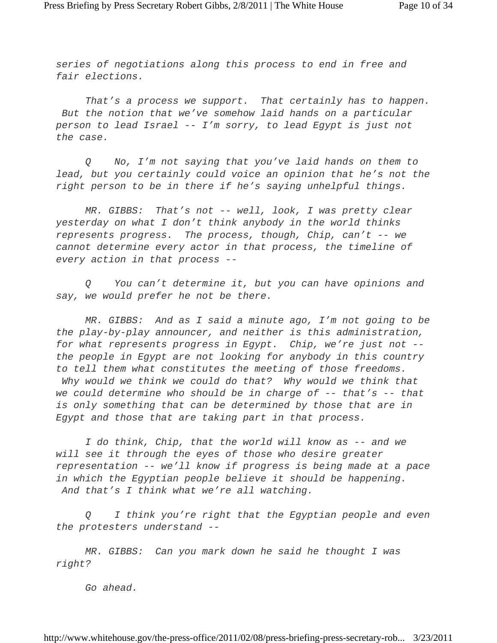*series of negotiations along this process to end in free and fair elections.* 

 *That's a process we support. That certainly has to happen. But the notion that we've somehow laid hands on a particular person to lead Israel -- I'm sorry, to lead Egypt is just not the case.* 

 *Q No, I'm not saying that you've laid hands on them to*  lead, but you certainly could voice an opinion that he's not the *right person to be in there if he's saying unhelpful things.* 

 *MR. GIBBS: That's not -- well, look, I was pretty clear yesterday on what I don't think anybody in the world thinks represents progress. The process, though, Chip, can't -- we cannot determine every actor in that process, the timeline of every action in that process --* 

 *Q You can't determine it, but you can have opinions and say, we would prefer he not be there.* 

 *MR. GIBBS: And as I said a minute ago, I'm not going to be the play-by-play announcer, and neither is this administration, for what represents progress in Egypt. Chip, we're just not - the people in Egypt are not looking for anybody in this country to tell them what constitutes the meeting of those freedoms. Why would we think we could do that? Why would we think that we could determine who should be in charge of -- that's -- that is only something that can be determined by those that are in Egypt and those that are taking part in that process.* 

 *I do think, Chip, that the world will know as -- and we will see it through the eyes of those who desire greater representation -- we'll know if progress is being made at a pace in which the Egyptian people believe it should be happening. And that's I think what we're all watching.* 

 *Q I think you're right that the Egyptian people and even the protesters understand --* 

 *MR. GIBBS: Can you mark down he said he thought I was right?* 

 *Go ahead.*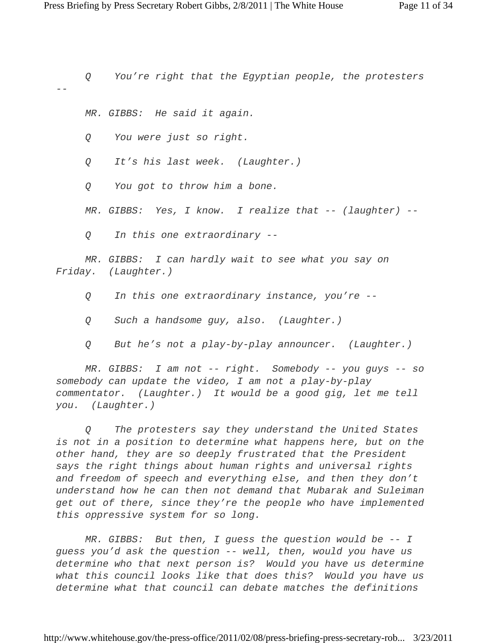*Q You're right that the Egyptian people, the protesters --* 

 *MR. GIBBS: He said it again.* 

 *Q You were just so right.* 

 *Q It's his last week. (Laughter.)* 

 *Q You got to throw him a bone.* 

 *MR. GIBBS: Yes, I know. I realize that -- (laughter) --* 

 *Q In this one extraordinary --* 

 *MR. GIBBS: I can hardly wait to see what you say on Friday. (Laughter.)* 

 *Q In this one extraordinary instance, you're --* 

 *Q Such a handsome guy, also. (Laughter.)* 

 *Q But he's not a play-by-play announcer. (Laughter.)* 

 *MR. GIBBS: I am not -- right. Somebody -- you guys -- so somebody can update the video, I am not a play-by-play commentator. (Laughter.) It would be a good gig, let me tell you. (Laughter.)* 

 *Q The protesters say they understand the United States is not in a position to determine what happens here, but on the other hand, they are so deeply frustrated that the President says the right things about human rights and universal rights and freedom of speech and everything else, and then they don't understand how he can then not demand that Mubarak and Suleiman get out of there, since they're the people who have implemented this oppressive system for so long.* 

 *MR. GIBBS: But then, I guess the question would be -- I guess you'd ask the question -- well, then, would you have us determine who that next person is? Would you have us determine what this council looks like that does this? Would you have us determine what that council can debate matches the definitions*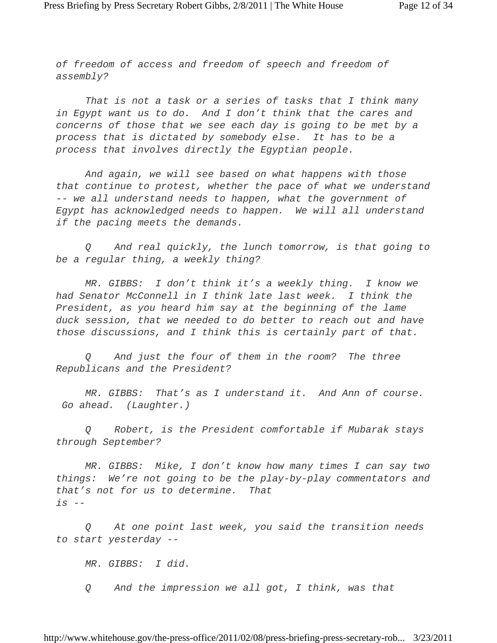*of freedom of access and freedom of speech and freedom of assembly?* 

 *That is not a task or a series of tasks that I think many in Egypt want us to do. And I don't think that the cares and concerns of those that we see each day is going to be met by a process that is dictated by somebody else. It has to be a process that involves directly the Egyptian people.* 

 *And again, we will see based on what happens with those that continue to protest, whether the pace of what we understand -- we all understand needs to happen, what the government of Egypt has acknowledged needs to happen. We will all understand if the pacing meets the demands.* 

 *Q And real quickly, the lunch tomorrow, is that going to be a regular thing, a weekly thing?* 

 *MR. GIBBS: I don't think it's a weekly thing. I know we had Senator McConnell in I think late last week. I think the President, as you heard him say at the beginning of the lame duck session, that we needed to do better to reach out and have those discussions, and I think this is certainly part of that.* 

 *Q And just the four of them in the room? The three Republicans and the President?* 

 *MR. GIBBS: That's as I understand it. And Ann of course. Go ahead. (Laughter.)* 

 *Q Robert, is the President comfortable if Mubarak stays through September?* 

 *MR. GIBBS: Mike, I don't know how many times I can say two things: We're not going to be the play-by-play commentators and that's not for us to determine. That is --* 

 *Q At one point last week, you said the transition needs to start yesterday --* 

 *MR. GIBBS: I did.* 

 *Q And the impression we all got, I think, was that*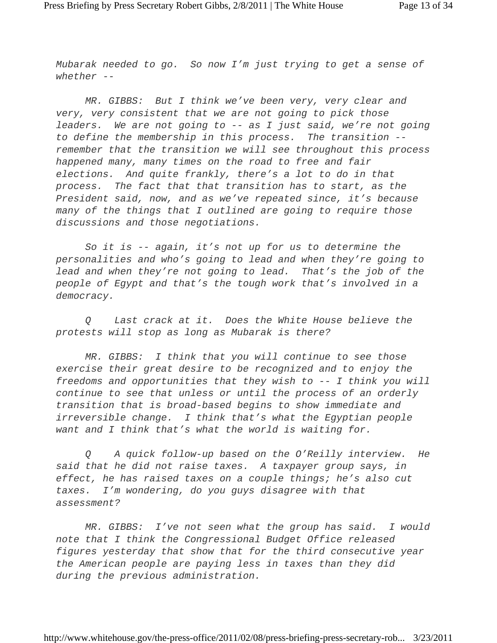*Mubarak needed to go. So now I'm just trying to get a sense of whether --* 

 *MR. GIBBS: But I think we've been very, very clear and very, very consistent that we are not going to pick those leaders. We are not going to -- as I just said, we're not going to define the membership in this process. The transition - remember that the transition we will see throughout this process happened many, many times on the road to free and fair elections. And quite frankly, there's a lot to do in that process. The fact that that transition has to start, as the President said, now, and as we've repeated since, it's because many of the things that I outlined are going to require those discussions and those negotiations.* 

 *So it is -- again, it's not up for us to determine the personalities and who's going to lead and when they're going to lead and when they're not going to lead. That's the job of the people of Egypt and that's the tough work that's involved in a democracy.* 

 *Q Last crack at it. Does the White House believe the protests will stop as long as Mubarak is there?* 

 *MR. GIBBS: I think that you will continue to see those exercise their great desire to be recognized and to enjoy the freedoms and opportunities that they wish to -- I think you will continue to see that unless or until the process of an orderly transition that is broad-based begins to show immediate and irreversible change. I think that's what the Egyptian people want and I think that's what the world is waiting for.* 

 *Q A quick follow-up based on the O'Reilly interview. He said that he did not raise taxes. A taxpayer group says, in effect, he has raised taxes on a couple things; he's also cut taxes. I'm wondering, do you guys disagree with that assessment?* 

 *MR. GIBBS: I've not seen what the group has said. I would note that I think the Congressional Budget Office released figures yesterday that show that for the third consecutive year the American people are paying less in taxes than they did during the previous administration.*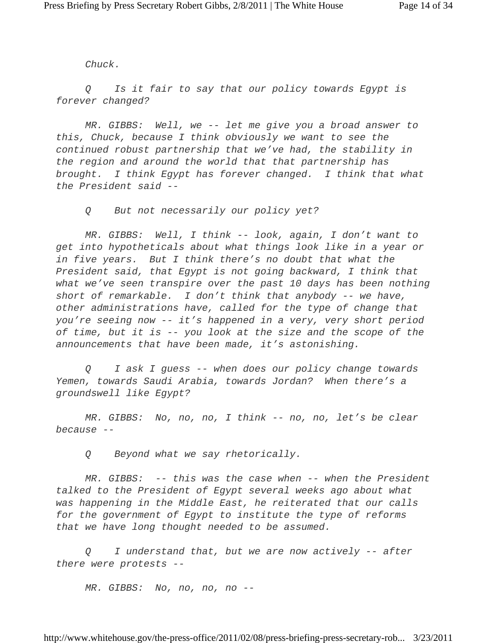*Chuck.* 

 *Q Is it fair to say that our policy towards Egypt is forever changed?* 

 *MR. GIBBS: Well, we -- let me give you a broad answer to this, Chuck, because I think obviously we want to see the continued robust partnership that we've had, the stability in the region and around the world that that partnership has brought. I think Egypt has forever changed. I think that what the President said --* 

 *Q But not necessarily our policy yet?* 

 *MR. GIBBS: Well, I think -- look, again, I don't want to get into hypotheticals about what things look like in a year or in five years. But I think there's no doubt that what the President said, that Egypt is not going backward, I think that what we've seen transpire over the past 10 days has been nothing short of remarkable. I don't think that anybody -- we have, other administrations have, called for the type of change that you're seeing now -- it's happened in a very, very short period of time, but it is -- you look at the size and the scope of the announcements that have been made, it's astonishing.* 

 *Q I ask I guess -- when does our policy change towards Yemen, towards Saudi Arabia, towards Jordan? When there's a groundswell like Egypt?* 

 *MR. GIBBS: No, no, no, I think -- no, no, let's be clear because --* 

 *Q Beyond what we say rhetorically.* 

 *MR. GIBBS: -- this was the case when -- when the President talked to the President of Egypt several weeks ago about what was happening in the Middle East, he reiterated that our calls for the government of Egypt to institute the type of reforms that we have long thought needed to be assumed.* 

 *Q I understand that, but we are now actively -- after there were protests --* 

 *MR. GIBBS: No, no, no, no --*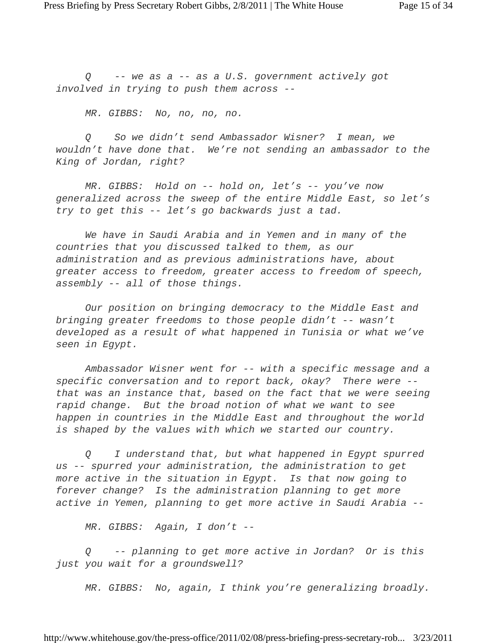*Q -- we as a -- as a U.S. government actively got involved in trying to push them across --* 

 *MR. GIBBS: No, no, no, no.* 

 *Q So we didn't send Ambassador Wisner? I mean, we wouldn't have done that. We're not sending an ambassador to the King of Jordan, right?* 

 *MR. GIBBS: Hold on -- hold on, let's -- you've now generalized across the sweep of the entire Middle East, so let's try to get this -- let's go backwards just a tad.* 

 *We have in Saudi Arabia and in Yemen and in many of the countries that you discussed talked to them, as our administration and as previous administrations have, about greater access to freedom, greater access to freedom of speech, assembly -- all of those things.* 

 *Our position on bringing democracy to the Middle East and bringing greater freedoms to those people didn't -- wasn't developed as a result of what happened in Tunisia or what we've seen in Egypt.* 

 *Ambassador Wisner went for -- with a specific message and a specific conversation and to report back, okay? There were - that was an instance that, based on the fact that we were seeing rapid change. But the broad notion of what we want to see happen in countries in the Middle East and throughout the world is shaped by the values with which we started our country.* 

 *Q I understand that, but what happened in Egypt spurred us -- spurred your administration, the administration to get more active in the situation in Egypt. Is that now going to forever change? Is the administration planning to get more active in Yemen, planning to get more active in Saudi Arabia --* 

 *MR. GIBBS: Again, I don't --* 

 *Q -- planning to get more active in Jordan? Or is this just you wait for a groundswell?* 

 *MR. GIBBS: No, again, I think you're generalizing broadly.*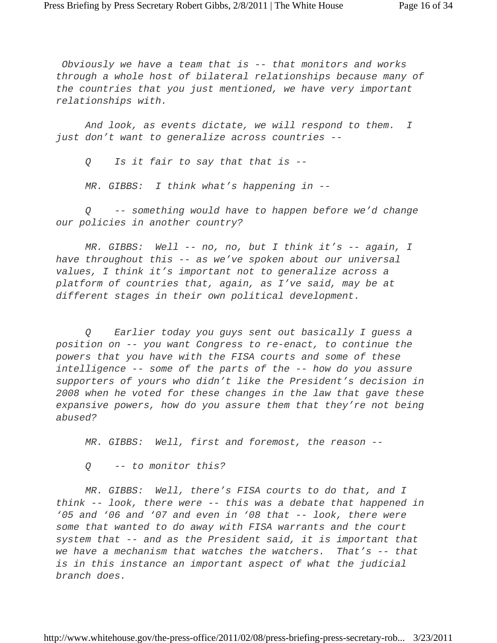*Obviously we have a team that is -- that monitors and works through a whole host of bilateral relationships because many of the countries that you just mentioned, we have very important relationships with.* 

 *And look, as events dictate, we will respond to them. I just don't want to generalize across countries --* 

 *Q Is it fair to say that that is --* 

 *MR. GIBBS: I think what's happening in --* 

 *Q -- something would have to happen before we'd change our policies in another country?* 

 *MR. GIBBS: Well -- no, no, but I think it's -- again, I have throughout this -- as we've spoken about our universal values, I think it's important not to generalize across a platform of countries that, again, as I've said, may be at different stages in their own political development.* 

 *Q Earlier today you guys sent out basically I guess a position on -- you want Congress to re-enact, to continue the powers that you have with the FISA courts and some of these intelligence -- some of the parts of the -- how do you assure supporters of yours who didn't like the President's decision in 2008 when he voted for these changes in the law that gave these expansive powers, how do you assure them that they're not being abused?* 

 *MR. GIBBS: Well, first and foremost, the reason --* 

 *Q -- to monitor this?* 

 *MR. GIBBS: Well, there's FISA courts to do that, and I think -- look, there were -- this was a debate that happened in '05 and '06 and '07 and even in '08 that -- look, there were some that wanted to do away with FISA warrants and the court system that -- and as the President said, it is important that we have a mechanism that watches the watchers. That's -- that is in this instance an important aspect of what the judicial branch does.*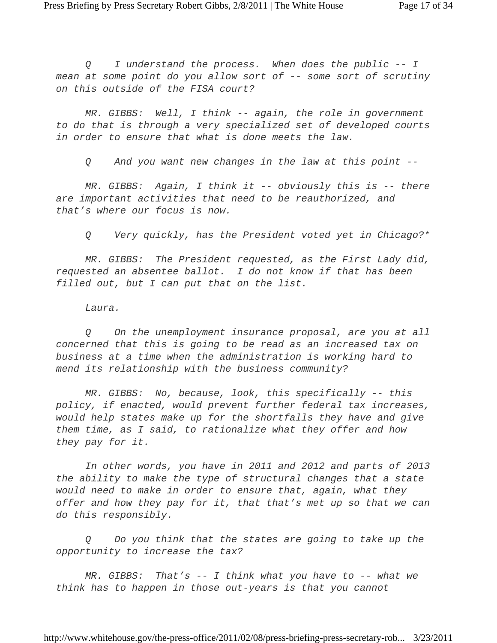*Q I understand the process. When does the public -- I mean at some point do you allow sort of -- some sort of scrutiny on this outside of the FISA court?* 

 *MR. GIBBS: Well, I think -- again, the role in government to do that is through a very specialized set of developed courts in order to ensure that what is done meets the law.* 

 *Q And you want new changes in the law at this point --* 

 *MR. GIBBS: Again, I think it -- obviously this is -- there are important activities that need to be reauthorized, and that's where our focus is now.* 

 *Q Very quickly, has the President voted yet in Chicago?\** 

 *MR. GIBBS: The President requested, as the First Lady did, requested an absentee ballot. I do not know if that has been filled out, but I can put that on the list.* 

 *Laura.* 

 *Q On the unemployment insurance proposal, are you at all concerned that this is going to be read as an increased tax on business at a time when the administration is working hard to mend its relationship with the business community?* 

 *MR. GIBBS: No, because, look, this specifically -- this policy, if enacted, would prevent further federal tax increases, would help states make up for the shortfalls they have and give them time, as I said, to rationalize what they offer and how they pay for it.* 

 *In other words, you have in 2011 and 2012 and parts of 2013 the ability to make the type of structural changes that a state would need to make in order to ensure that, again, what they offer and how they pay for it, that that's met up so that we can do this responsibly.* 

 *Q Do you think that the states are going to take up the opportunity to increase the tax?* 

 *MR. GIBBS: That's -- I think what you have to -- what we think has to happen in those out-years is that you cannot*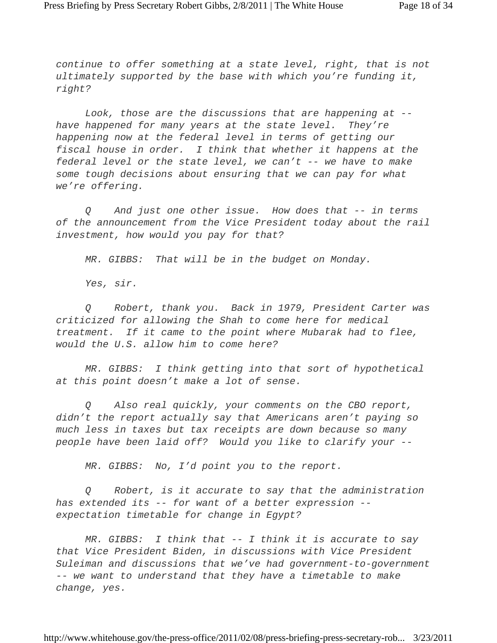*continue to offer something at a state level, right, that is not ultimately supported by the base with which you're funding it, right?* 

 *Look, those are the discussions that are happening at - have happened for many years at the state level. They're happening now at the federal level in terms of getting our fiscal house in order. I think that whether it happens at the federal level or the state level, we can't -- we have to make some tough decisions about ensuring that we can pay for what we're offering.* 

 *Q And just one other issue. How does that -- in terms of the announcement from the Vice President today about the rail investment, how would you pay for that?* 

 *MR. GIBBS: That will be in the budget on Monday.* 

 *Yes, sir.* 

 *Q Robert, thank you. Back in 1979, President Carter was criticized for allowing the Shah to come here for medical treatment. If it came to the point where Mubarak had to flee, would the U.S. allow him to come here?* 

 *MR. GIBBS: I think getting into that sort of hypothetical at this point doesn't make a lot of sense.* 

 *Q Also real quickly, your comments on the CBO report, didn't the report actually say that Americans aren't paying so much less in taxes but tax receipts are down because so many people have been laid off? Would you like to clarify your --* 

 *MR. GIBBS: No, I'd point you to the report.* 

 *Q Robert, is it accurate to say that the administration has extended its -- for want of a better expression - expectation timetable for change in Egypt?* 

 *MR. GIBBS: I think that -- I think it is accurate to say that Vice President Biden, in discussions with Vice President Suleiman and discussions that we've had government-to-government -- we want to understand that they have a timetable to make change, yes.*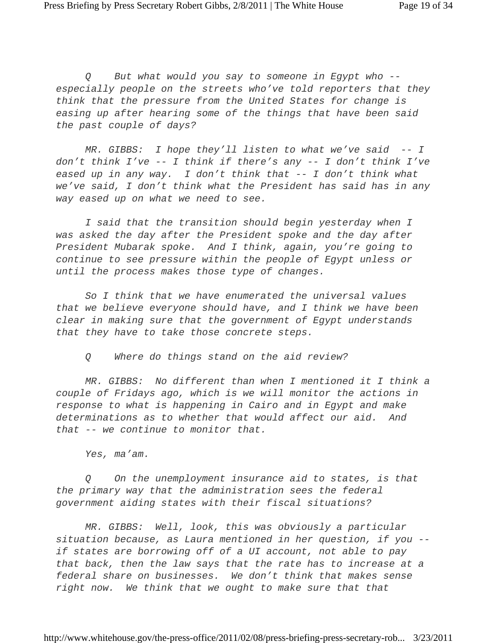*Q But what would you say to someone in Egypt who - especially people on the streets who've told reporters that they think that the pressure from the United States for change is easing up after hearing some of the things that have been said the past couple of days?* 

 *MR. GIBBS: I hope they'll listen to what we've said -- I don't think I've -- I think if there's any -- I don't think I've eased up in any way. I don't think that -- I don't think what we've said, I don't think what the President has said has in any way eased up on what we need to see.* 

 *I said that the transition should begin yesterday when I was asked the day after the President spoke and the day after President Mubarak spoke. And I think, again, you're going to continue to see pressure within the people of Egypt unless or until the process makes those type of changes.* 

 *So I think that we have enumerated the universal values that we believe everyone should have, and I think we have been clear in making sure that the government of Egypt understands that they have to take those concrete steps.* 

 *Q Where do things stand on the aid review?* 

 *MR. GIBBS: No different than when I mentioned it I think a couple of Fridays ago, which is we will monitor the actions in response to what is happening in Cairo and in Egypt and make determinations as to whether that would affect our aid. And that -- we continue to monitor that.* 

 *Yes, ma'am.* 

 *Q On the unemployment insurance aid to states, is that the primary way that the administration sees the federal government aiding states with their fiscal situations?* 

 *MR. GIBBS: Well, look, this was obviously a particular situation because, as Laura mentioned in her question, if you - if states are borrowing off of a UI account, not able to pay that back, then the law says that the rate has to increase at a federal share on businesses. We don't think that makes sense right now. We think that we ought to make sure that that*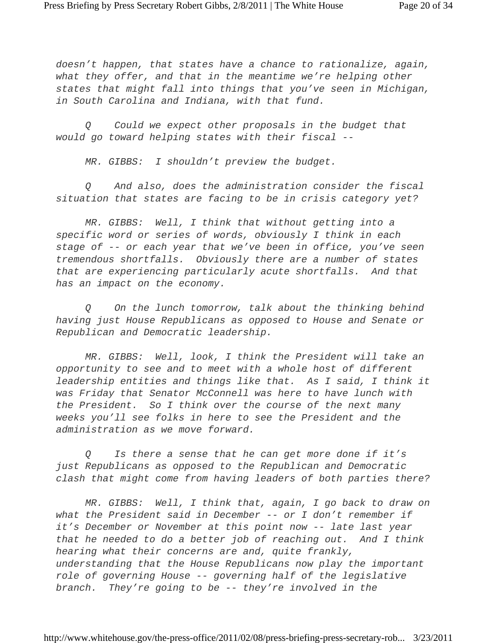*doesn't happen, that states have a chance to rationalize, again, what they offer, and that in the meantime we're helping other states that might fall into things that you've seen in Michigan, in South Carolina and Indiana, with that fund.* 

 *Q Could we expect other proposals in the budget that would go toward helping states with their fiscal --* 

 *MR. GIBBS: I shouldn't preview the budget.* 

 *Q And also, does the administration consider the fiscal situation that states are facing to be in crisis category yet?* 

 *MR. GIBBS: Well, I think that without getting into a specific word or series of words, obviously I think in each stage of -- or each year that we've been in office, you've seen tremendous shortfalls. Obviously there are a number of states that are experiencing particularly acute shortfalls. And that has an impact on the economy.* 

 *Q On the lunch tomorrow, talk about the thinking behind having just House Republicans as opposed to House and Senate or Republican and Democratic leadership.* 

 *MR. GIBBS: Well, look, I think the President will take an opportunity to see and to meet with a whole host of different leadership entities and things like that. As I said, I think it was Friday that Senator McConnell was here to have lunch with the President. So I think over the course of the next many weeks you'll see folks in here to see the President and the administration as we move forward.* 

 *Q Is there a sense that he can get more done if it's just Republicans as opposed to the Republican and Democratic clash that might come from having leaders of both parties there?* 

 *MR. GIBBS: Well, I think that, again, I go back to draw on what the President said in December -- or I don't remember if it's December or November at this point now -- late last year that he needed to do a better job of reaching out. And I think hearing what their concerns are and, quite frankly, understanding that the House Republicans now play the important role of governing House -- governing half of the legislative branch. They're going to be -- they're involved in the*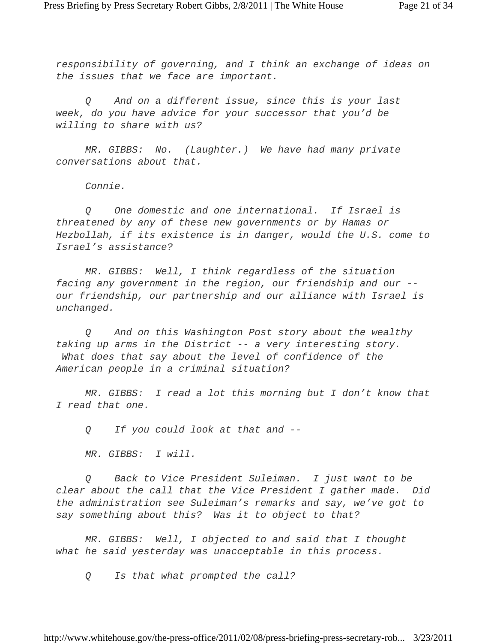*responsibility of governing, and I think an exchange of ideas on the issues that we face are important.* 

 *Q And on a different issue, since this is your last week, do you have advice for your successor that you'd be willing to share with us?* 

 *MR. GIBBS: No. (Laughter.) We have had many private conversations about that.* 

 *Connie.* 

 *Q One domestic and one international. If Israel is threatened by any of these new governments or by Hamas or Hezbollah, if its existence is in danger, would the U.S. come to Israel's assistance?* 

 *MR. GIBBS: Well, I think regardless of the situation facing any government in the region, our friendship and our - our friendship, our partnership and our alliance with Israel is unchanged.* 

 *Q And on this Washington Post story about the wealthy taking up arms in the District -- a very interesting story.*  What does that say about the level of confidence of the *American people in a criminal situation?* 

 *MR. GIBBS: I read a lot this morning but I don't know that I read that one.* 

 *Q If you could look at that and --* 

 *MR. GIBBS: I will.* 

 *Q Back to Vice President Suleiman. I just want to be clear about the call that the Vice President I gather made. Did the administration see Suleiman's remarks and say, we've got to say something about this? Was it to object to that?* 

 *MR. GIBBS: Well, I objected to and said that I thought what he said yesterday was unacceptable in this process.* 

 *Q Is that what prompted the call?*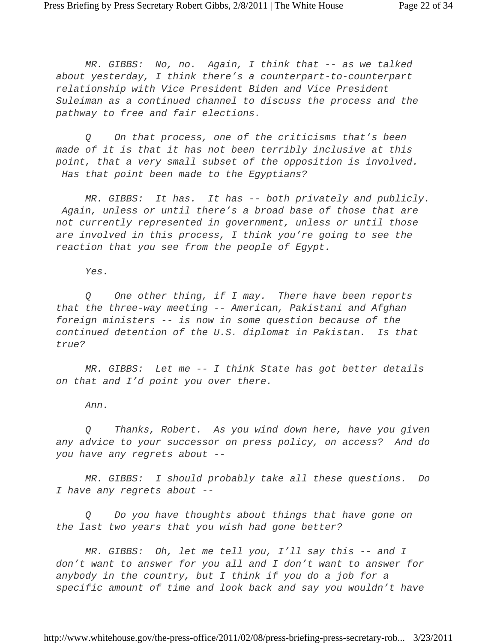*MR. GIBBS: No, no. Again, I think that -- as we talked about yesterday, I think there's a counterpart-to-counterpart relationship with Vice President Biden and Vice President Suleiman as a continued channel to discuss the process and the pathway to free and fair elections.* 

 *Q On that process, one of the criticisms that's been made of it is that it has not been terribly inclusive at this point, that a very small subset of the opposition is involved. Has that point been made to the Egyptians?* 

 *MR. GIBBS: It has. It has -- both privately and publicly. Again, unless or until there's a broad base of those that are not currently represented in government, unless or until those are involved in this process, I think you're going to see the reaction that you see from the people of Egypt.* 

 *Yes.* 

 *Q One other thing, if I may. There have been reports that the three-way meeting -- American, Pakistani and Afghan foreign ministers -- is now in some question because of the continued detention of the U.S. diplomat in Pakistan. Is that true?* 

 *MR. GIBBS: Let me -- I think State has got better details on that and I'd point you over there.* 

 *Ann.* 

 *Q Thanks, Robert. As you wind down here, have you given any advice to your successor on press policy, on access? And do you have any regrets about --* 

 *MR. GIBBS: I should probably take all these questions. Do I have any regrets about --* 

 *Q Do you have thoughts about things that have gone on the last two years that you wish had gone better?* 

 *MR. GIBBS: Oh, let me tell you, I'll say this -- and I don't want to answer for you all and I don't want to answer for anybody in the country, but I think if you do a job for a specific amount of time and look back and say you wouldn't have*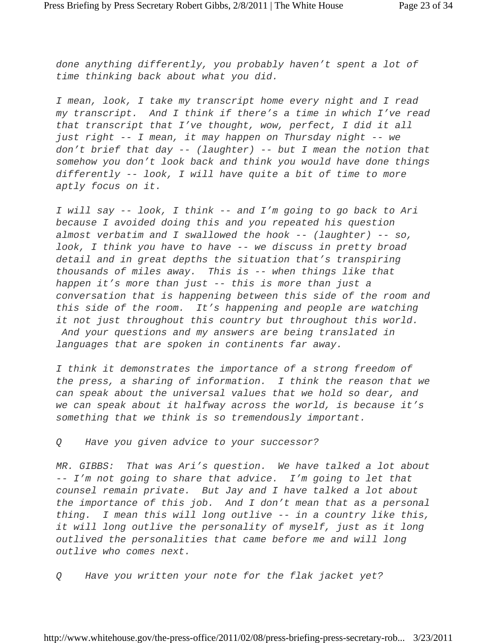*done anything differently, you probably haven't spent a lot of time thinking back about what you did.* 

*I mean, look, I take my transcript home every night and I read my transcript. And I think if there's a time in which I've read that transcript that I've thought, wow, perfect, I did it all just right -- I mean, it may happen on Thursday night -- we don't brief that day -- (laughter) -- but I mean the notion that somehow you don't look back and think you would have done things differently -- look, I will have quite a bit of time to more aptly focus on it.* 

*I will say -- look, I think -- and I'm going to go back to Ari because I avoided doing this and you repeated his question almost verbatim and I swallowed the hook -- (laughter) -- so, look, I think you have to have -- we discuss in pretty broad detail and in great depths the situation that's transpiring thousands of miles away. This is -- when things like that happen it's more than just -- this is more than just a conversation that is happening between this side of the room and this side of the room. It's happening and people are watching it not just throughout this country but throughout this world. And your questions and my answers are being translated in languages that are spoken in continents far away.* 

*I think it demonstrates the importance of a strong freedom of the press, a sharing of information. I think the reason that we can speak about the universal values that we hold so dear, and we can speak about it halfway across the world, is because it's something that we think is so tremendously important.* 

*Q Have you given advice to your successor?* 

*MR. GIBBS: That was Ari's question. We have talked a lot about -- I'm not going to share that advice. I'm going to let that counsel remain private. But Jay and I have talked a lot about the importance of this job. And I don't mean that as a personal thing. I mean this will long outlive -- in a country like this, it will long outlive the personality of myself, just as it long outlived the personalities that came before me and will long outlive who comes next.* 

*Q Have you written your note for the flak jacket yet?*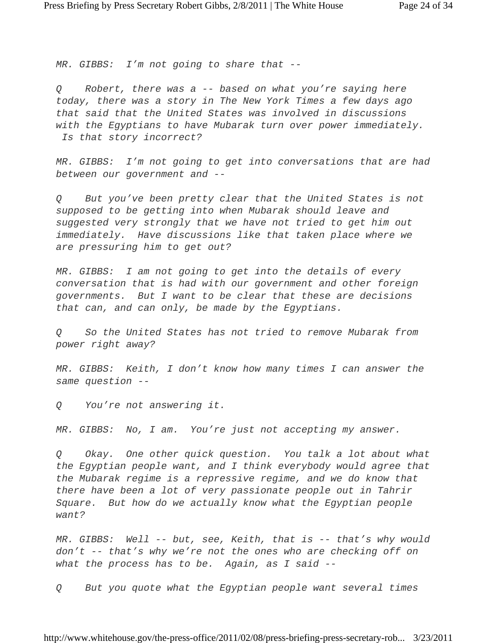*MR. GIBBS: I'm not going to share that --* 

*Q Robert, there was a -- based on what you're saying here today, there was a story in The New York Times a few days ago that said that the United States was involved in discussions with the Egyptians to have Mubarak turn over power immediately. Is that story incorrect?* 

*MR. GIBBS: I'm not going to get into conversations that are had between our government and --* 

*Q But you've been pretty clear that the United States is not supposed to be getting into when Mubarak should leave and suggested very strongly that we have not tried to get him out immediately. Have discussions like that taken place where we are pressuring him to get out?* 

*MR. GIBBS: I am not going to get into the details of every conversation that is had with our government and other foreign governments. But I want to be clear that these are decisions that can, and can only, be made by the Egyptians.* 

*Q So the United States has not tried to remove Mubarak from power right away?* 

*MR. GIBBS: Keith, I don't know how many times I can answer the same question --* 

*Q You're not answering it.* 

*MR. GIBBS: No, I am. You're just not accepting my answer.* 

*Q Okay. One other quick question. You talk a lot about what the Egyptian people want, and I think everybody would agree that the Mubarak regime is a repressive regime, and we do know that there have been a lot of very passionate people out in Tahrir Square. But how do we actually know what the Egyptian people want?* 

*MR. GIBBS: Well -- but, see, Keith, that is -- that's why would don't -- that's why we're not the ones who are checking off on what the process has to be. Again, as I said --* 

*Q But you quote what the Egyptian people want several times*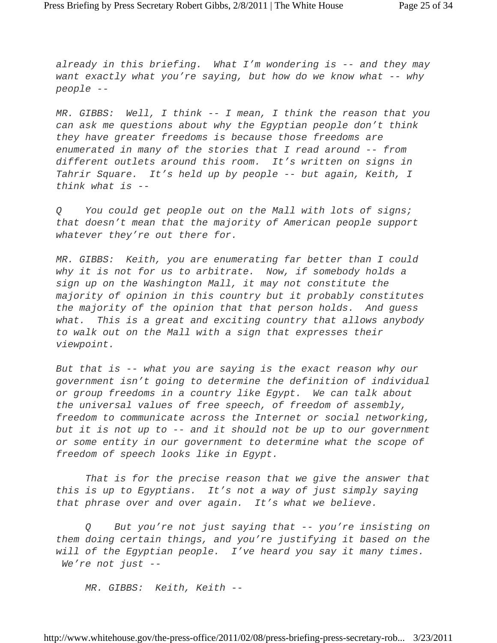*already in this briefing. What I'm wondering is -- and they may want exactly what you're saying, but how do we know what -- why people --* 

*MR. GIBBS: Well, I think -- I mean, I think the reason that you can ask me questions about why the Egyptian people don't think they have greater freedoms is because those freedoms are enumerated in many of the stories that I read around -- from different outlets around this room. It's written on signs in Tahrir Square. It's held up by people -- but again, Keith, I think what is --* 

*Q You could get people out on the Mall with lots of signs; that doesn't mean that the majority of American people support whatever they're out there for.* 

*MR. GIBBS: Keith, you are enumerating far better than I could why it is not for us to arbitrate. Now, if somebody holds a sign up on the Washington Mall, it may not constitute the majority of opinion in this country but it probably constitutes the majority of the opinion that that person holds. And guess what. This is a great and exciting country that allows anybody to walk out on the Mall with a sign that expresses their viewpoint.* 

*But that is -- what you are saying is the exact reason why our government isn't going to determine the definition of individual or group freedoms in a country like Egypt. We can talk about the universal values of free speech, of freedom of assembly, freedom to communicate across the Internet or social networking, but it is not up to -- and it should not be up to our government or some entity in our government to determine what the scope of freedom of speech looks like in Egypt.* 

 *That is for the precise reason that we give the answer that this is up to Egyptians. It's not a way of just simply saying that phrase over and over again. It's what we believe.* 

 *Q But you're not just saying that -- you're insisting on them doing certain things, and you're justifying it based on the will of the Egyptian people. I've heard you say it many times. We're not just --* 

 *MR. GIBBS: Keith, Keith --*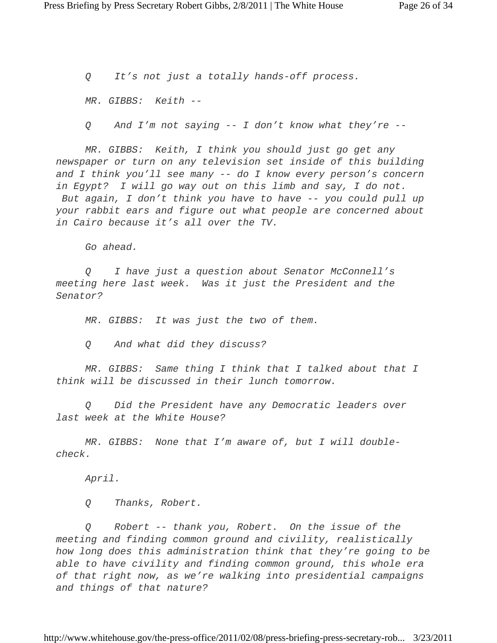*Q It's not just a totally hands-off process.* 

 *MR. GIBBS: Keith --* 

 *Q And I'm not saying -- I don't know what they're --* 

 *MR. GIBBS: Keith, I think you should just go get any newspaper or turn on any television set inside of this building and I think you'll see many -- do I know every person's concern in Egypt? I will go way out on this limb and say, I do not. But again, I don't think you have to have -- you could pull up your rabbit ears and figure out what people are concerned about in Cairo because it's all over the TV.* 

 *Go ahead.* 

 *Q I have just a question about Senator McConnell's meeting here last week. Was it just the President and the Senator?* 

 *MR. GIBBS: It was just the two of them.* 

 *Q And what did they discuss?* 

 *MR. GIBBS: Same thing I think that I talked about that I think will be discussed in their lunch tomorrow.* 

 *Q Did the President have any Democratic leaders over last week at the White House?* 

 *MR. GIBBS: None that I'm aware of, but I will doublecheck.* 

 *April.* 

 *Q Thanks, Robert.* 

 *Q Robert -- thank you, Robert. On the issue of the meeting and finding common ground and civility, realistically how long does this administration think that they're going to be able to have civility and finding common ground, this whole era of that right now, as we're walking into presidential campaigns and things of that nature?*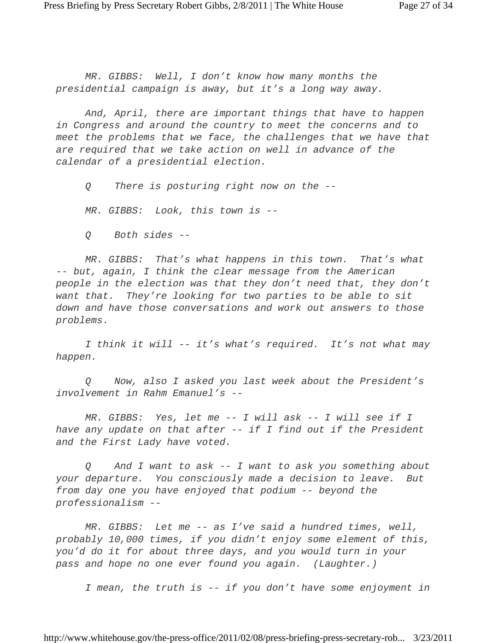*MR. GIBBS: Well, I don't know how many months the presidential campaign is away, but it's a long way away.* 

 *And, April, there are important things that have to happen in Congress and around the country to meet the concerns and to meet the problems that we face, the challenges that we have that are required that we take action on well in advance of the calendar of a presidential election.* 

 *Q There is posturing right now on the --* 

 *MR. GIBBS: Look, this town is --* 

 *Q Both sides --* 

 *MR. GIBBS: That's what happens in this town. That's what -- but, again, I think the clear message from the American people in the election was that they don't need that, they don't want that. They're looking for two parties to be able to sit down and have those conversations and work out answers to those problems.* 

 *I think it will -- it's what's required. It's not what may happen.* 

 *Q Now, also I asked you last week about the President's involvement in Rahm Emanuel's --* 

 *MR. GIBBS: Yes, let me -- I will ask -- I will see if I have any update on that after -- if I find out if the President and the First Lady have voted.* 

 *Q And I want to ask -- I want to ask you something about your departure. You consciously made a decision to leave. But from day one you have enjoyed that podium -- beyond the professionalism --* 

 *MR. GIBBS: Let me -- as I've said a hundred times, well, probably 10,000 times, if you didn't enjoy some element of this, you'd do it for about three days, and you would turn in your pass and hope no one ever found you again. (Laughter.)* 

 *I mean, the truth is -- if you don't have some enjoyment in*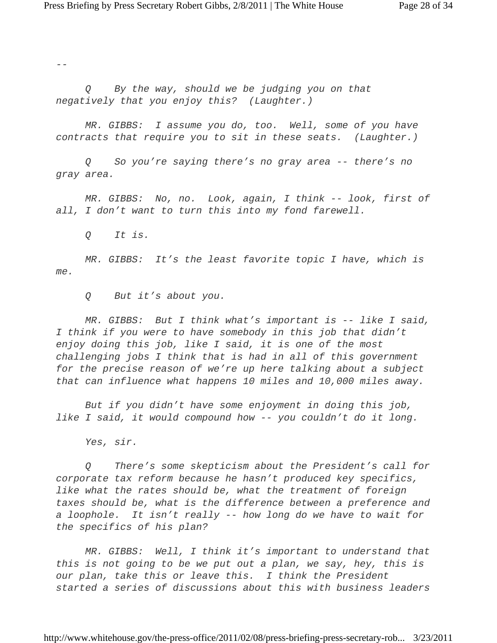*--* 

 *Q By the way, should we be judging you on that negatively that you enjoy this? (Laughter.)* 

 *MR. GIBBS: I assume you do, too. Well, some of you have contracts that require you to sit in these seats. (Laughter.)* 

 *Q So you're saying there's no gray area -- there's no gray area.* 

 *MR. GIBBS: No, no. Look, again, I think -- look, first of all, I don't want to turn this into my fond farewell.* 

 *Q It is.* 

 *MR. GIBBS: It's the least favorite topic I have, which is me.* 

 *Q But it's about you.* 

 *MR. GIBBS: But I think what's important is -- like I said, I think if you were to have somebody in this job that didn't enjoy doing this job, like I said, it is one of the most challenging jobs I think that is had in all of this government for the precise reason of we're up here talking about a subject that can influence what happens 10 miles and 10,000 miles away.* 

 *But if you didn't have some enjoyment in doing this job, like I said, it would compound how -- you couldn't do it long.* 

 *Yes, sir.* 

 *Q There's some skepticism about the President's call for corporate tax reform because he hasn't produced key specifics, like what the rates should be, what the treatment of foreign taxes should be, what is the difference between a preference and a loophole. It isn't really -- how long do we have to wait for the specifics of his plan?* 

 *MR. GIBBS: Well, I think it's important to understand that this is not going to be we put out a plan, we say, hey, this is our plan, take this or leave this. I think the President started a series of discussions about this with business leaders*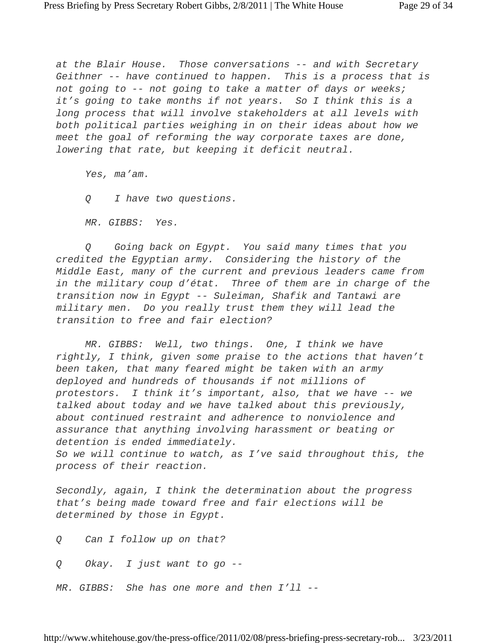*at the Blair House. Those conversations -- and with Secretary Geithner -- have continued to happen. This is a process that is not going to -- not going to take a matter of days or weeks; it's going to take months if not years. So I think this is a long process that will involve stakeholders at all levels with both political parties weighing in on their ideas about how we meet the goal of reforming the way corporate taxes are done, lowering that rate, but keeping it deficit neutral.* 

 *Yes, ma'am.* 

 *Q I have two questions.* 

 *MR. GIBBS: Yes.* 

 *Q Going back on Egypt. You said many times that you credited the Egyptian army. Considering the history of the Middle East, many of the current and previous leaders came from in the military coup d'état. Three of them are in charge of the transition now in Egypt -- Suleiman, Shafik and Tantawi are military men. Do you really trust them they will lead the transition to free and fair election?* 

 *MR. GIBBS: Well, two things. One, I think we have rightly, I think, given some praise to the actions that haven't been taken, that many feared might be taken with an army deployed and hundreds of thousands if not millions of protestors. I think it's important, also, that we have -- we talked about today and we have talked about this previously, about continued restraint and adherence to nonviolence and assurance that anything involving harassment or beating or detention is ended immediately. So we will continue to watch, as I've said throughout this, the* 

*process of their reaction.* 

*Secondly, again, I think the determination about the progress that's being made toward free and fair elections will be determined by those in Egypt.* 

*Q Can I follow up on that?* 

*Q Okay. I just want to go --* 

*MR. GIBBS: She has one more and then I'll --*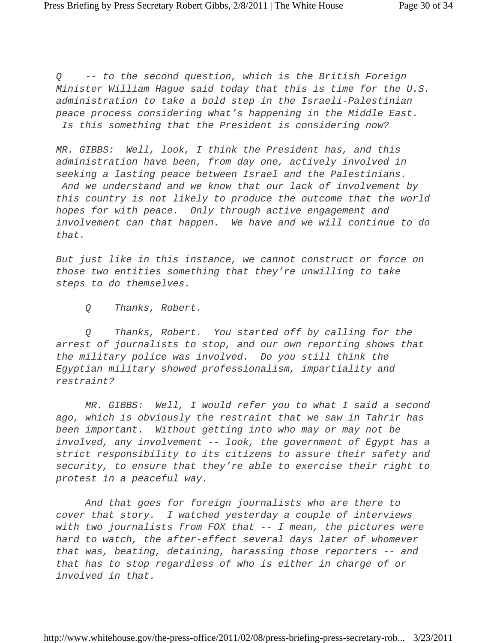*Q -- to the second question, which is the British Foreign Minister William Hague said today that this is time for the U.S. administration to take a bold step in the Israeli-Palestinian peace process considering what's happening in the Middle East. Is this something that the President is considering now?* 

*MR. GIBBS: Well, look, I think the President has, and this administration have been, from day one, actively involved in seeking a lasting peace between Israel and the Palestinians. And we understand and we know that our lack of involvement by this country is not likely to produce the outcome that the world hopes for with peace. Only through active engagement and involvement can that happen. We have and we will continue to do that.* 

*But just like in this instance, we cannot construct or force on those two entities something that they're unwilling to take steps to do themselves.* 

 *Q Thanks, Robert.* 

 *Q Thanks, Robert. You started off by calling for the arrest of journalists to stop, and our own reporting shows that the military police was involved. Do you still think the Egyptian military showed professionalism, impartiality and restraint?* 

 *MR. GIBBS: Well, I would refer you to what I said a second ago, which is obviously the restraint that we saw in Tahrir has been important. Without getting into who may or may not be involved, any involvement -- look, the government of Egypt has a strict responsibility to its citizens to assure their safety and security, to ensure that they're able to exercise their right to protest in a peaceful way.* 

 *And that goes for foreign journalists who are there to cover that story. I watched yesterday a couple of interviews with two journalists from FOX that -- I mean, the pictures were hard to watch, the after-effect several days later of whomever that was, beating, detaining, harassing those reporters -- and that has to stop regardless of who is either in charge of or involved in that.*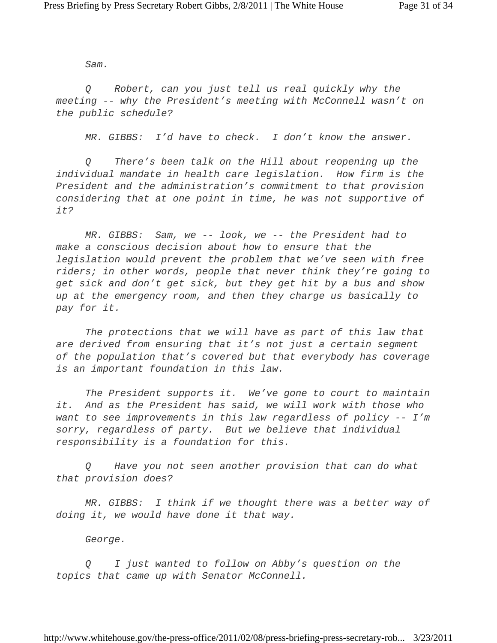*Sam.* 

 *Q Robert, can you just tell us real quickly why the meeting -- why the President's meeting with McConnell wasn't on the public schedule?* 

 *MR. GIBBS: I'd have to check. I don't know the answer.* 

 *Q There's been talk on the Hill about reopening up the individual mandate in health care legislation. How firm is the President and the administration's commitment to that provision considering that at one point in time, he was not supportive of it?* 

 *MR. GIBBS: Sam, we -- look, we -- the President had to make a conscious decision about how to ensure that the legislation would prevent the problem that we've seen with free riders; in other words, people that never think they're going to get sick and don't get sick, but they get hit by a bus and show up at the emergency room, and then they charge us basically to pay for it.* 

 *The protections that we will have as part of this law that are derived from ensuring that it's not just a certain segment of the population that's covered but that everybody has coverage is an important foundation in this law.* 

 *The President supports it. We've gone to court to maintain it. And as the President has said, we will work with those who want to see improvements in this law regardless of policy -- I'm sorry, regardless of party. But we believe that individual responsibility is a foundation for this.* 

 *Q Have you not seen another provision that can do what that provision does?* 

 *MR. GIBBS: I think if we thought there was a better way of doing it, we would have done it that way.* 

## *George.*

 *Q I just wanted to follow on Abby's question on the topics that came up with Senator McConnell.*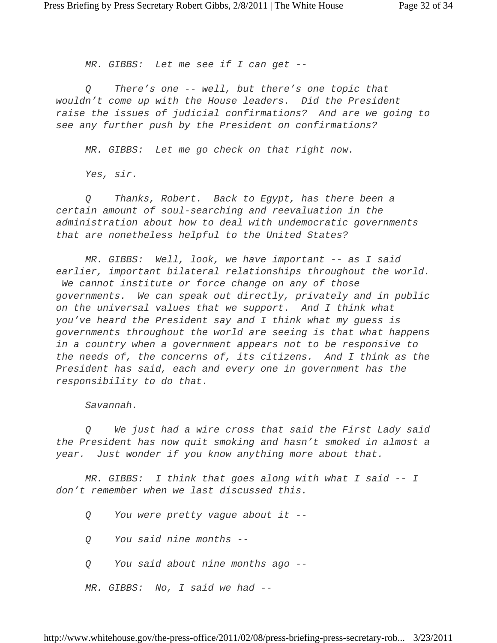*MR. GIBBS: Let me see if I can get --* 

 *Q There's one -- well, but there's one topic that wouldn't come up with the House leaders. Did the President raise the issues of judicial confirmations? And are we going to see any further push by the President on confirmations?* 

 *MR. GIBBS: Let me go check on that right now.* 

 *Yes, sir.* 

 *Q Thanks, Robert. Back to Egypt, has there been a certain amount of soul-searching and reevaluation in the administration about how to deal with undemocratic governments that are nonetheless helpful to the United States?* 

 *MR. GIBBS: Well, look, we have important -- as I said earlier, important bilateral relationships throughout the world. We cannot institute or force change on any of those governments. We can speak out directly, privately and in public on the universal values that we support. And I think what you've heard the President say and I think what my guess is governments throughout the world are seeing is that what happens in a country when a government appears not to be responsive to the needs of, the concerns of, its citizens. And I think as the President has said, each and every one in government has the responsibility to do that.* 

## *Savannah.*

 *Q We just had a wire cross that said the First Lady said the President has now quit smoking and hasn't smoked in almost a year. Just wonder if you know anything more about that.* 

 *MR. GIBBS: I think that goes along with what I said -- I don't remember when we last discussed this.* 

 *Q You were pretty vague about it -- Q You said nine months -- Q You said about nine months ago -- MR. GIBBS: No, I said we had --*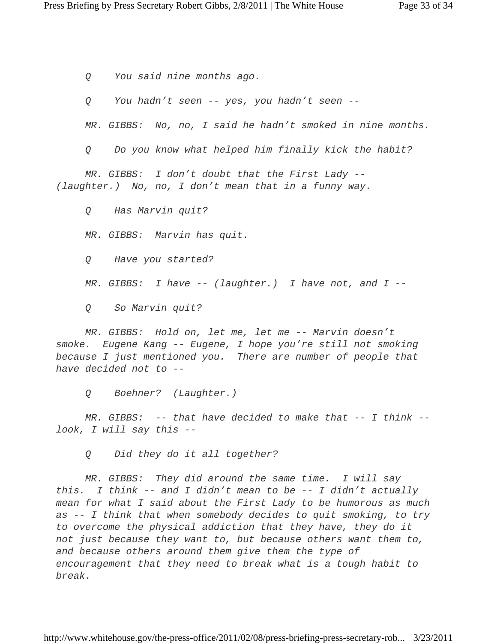*Q You said nine months ago.* 

 *Q You hadn't seen -- yes, you hadn't seen --* 

 *MR. GIBBS: No, no, I said he hadn't smoked in nine months.* 

 *Q Do you know what helped him finally kick the habit?* 

 *MR. GIBBS: I don't doubt that the First Lady -- (laughter.) No, no, I don't mean that in a funny way.* 

 *Q Has Marvin quit?* 

 *MR. GIBBS: Marvin has quit.* 

 *Q Have you started?* 

 *MR. GIBBS: I have -- (laughter.) I have not, and I --* 

 *Q So Marvin quit?* 

 *MR. GIBBS: Hold on, let me, let me -- Marvin doesn't smoke. Eugene Kang -- Eugene, I hope you're still not smoking because I just mentioned you. There are number of people that have decided not to --* 

 *Q Boehner? (Laughter.)* 

 *MR. GIBBS: -- that have decided to make that -- I think - look, I will say this --* 

 *Q Did they do it all together?* 

 *MR. GIBBS: They did around the same time. I will say this. I think -- and I didn't mean to be -- I didn't actually mean for what I said about the First Lady to be humorous as much as -- I think that when somebody decides to quit smoking, to try to overcome the physical addiction that they have, they do it not just because they want to, but because others want them to, and because others around them give them the type of encouragement that they need to break what is a tough habit to break.*